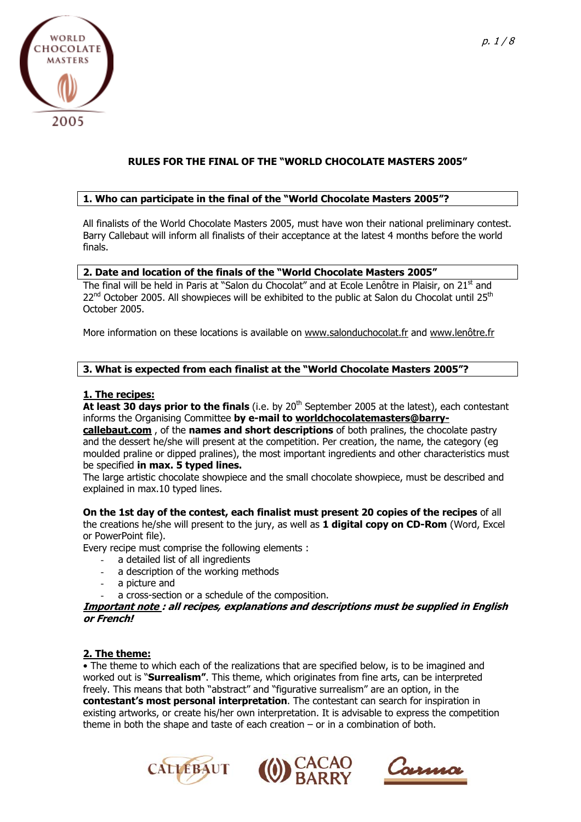

# **RULES FOR THE FINAL OF THE "WORLD CHOCOLATE MASTERS 2005"**

## **1. Who can participate in the final of the "World Chocolate Masters 2005"?**

All finalists of the World Chocolate Masters 2005, must have won their national preliminary contest. Barry Callebaut will inform all finalists of their acceptance at the latest 4 months before the world finals.

#### **2. Date and location of the finals of the "World Chocolate Masters 2005"**

The final will be held in Paris at "Salon du Chocolat" and at Ecole Lenôtre in Plaisir, on 21<sup>st</sup> and  $22<sup>nd</sup>$  October 2005. All showpieces will be exhibited to the public at Salon du Chocolat until 25<sup>th</sup> October 2005.

More information on these locations is available on [www.salonduchocolat.fr](http://www.salonduchocolat.fr/) and [www.lenôtre.fr](http://www.len�tre.fr/)

#### **3. What is expected from each finalist at the "World Chocolate Masters 2005"?**

#### **1. The recipes:**

At least 30 days prior to the finals (i.e. by 20<sup>th</sup> September 2005 at the latest), each contestant informs the Organising Committee **by e-mail to [worldchocolatemasters@barry-](mailto:worldchocolatemasters@barry-callebaut.com)**

**[callebaut.com](mailto:worldchocolatemasters@barry-callebaut.com)** , of the **names and short descriptions** of both pralines, the chocolate pastry and the dessert he/she will present at the competition. Per creation, the name, the category (eg moulded praline or dipped pralines), the most important ingredients and other characteristics must be specified **in max. 5 typed lines.** 

The large artistic chocolate showpiece and the small chocolate showpiece, must be described and explained in max.10 typed lines.

**On the 1st day of the contest, each finalist must present 20 copies of the recipes** of all the creations he/she will present to the jury, as well as **1 digital copy on CD-Rom** (Word, Excel or PowerPoint file).

Every recipe must comprise the following elements :

- a detailed list of all ingredients
- a description of the working methods
- a picture and
- a cross-section or a schedule of the composition.

#### **Important note : all recipes, explanations and descriptions must be supplied in English or French!**

#### **2. The theme:**

• The theme to which each of the realizations that are specified below, is to be imagined and worked out is "**Surrealism"**. This theme, which originates from fine arts, can be interpreted freely. This means that both "abstract" and "figurative surrealism" are an option, in the **contestant's most personal interpretation**. The contestant can search for inspiration in existing artworks, or create his/her own interpretation. It is advisable to express the competition theme in both the shape and taste of each creation – or in a combination of both.





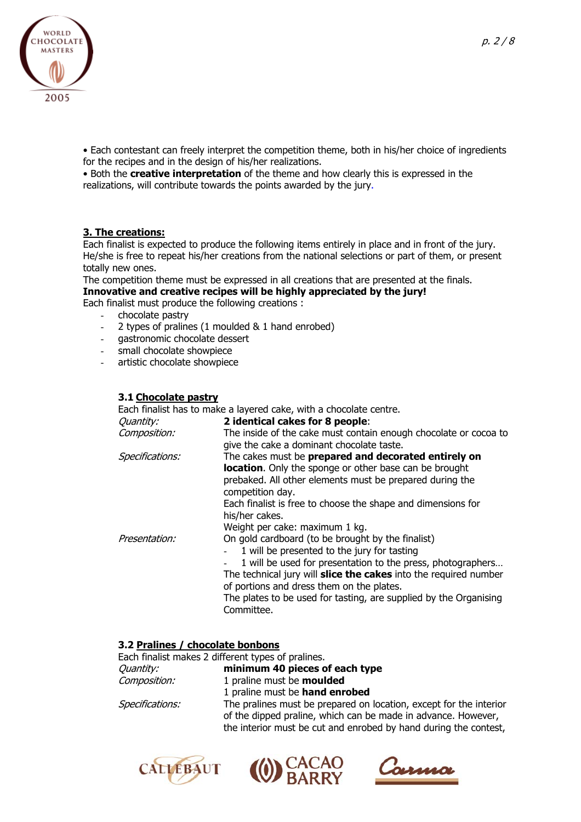

• Each contestant can freely interpret the competition theme, both in his/her choice of ingredients for the recipes and in the design of his/her realizations.

• Both the **creative interpretation** of the theme and how clearly this is expressed in the realizations, will contribute towards the points awarded by the jury.

#### **3. The creations:**

Each finalist is expected to produce the following items entirely in place and in front of the jury. He/she is free to repeat his/her creations from the national selections or part of them, or present totally new ones.

The competition theme must be expressed in all creations that are presented at the finals. **Innovative and creative recipes will be highly appreciated by the jury!** 

Each finalist must produce the following creations :

- chocolate pastry
- 2 types of pralines (1 moulded & 1 hand enrobed)
- gastronomic chocolate dessert
- small chocolate showpiece
- artistic chocolate showpiece

#### **3.1 Chocolate pastry**

Each finalist has to make a layered cake, with a chocolate centre. Quantity: **2 identical cakes for 8 people**: The inside of the cake must contain enough chocolate or cocoa to give the cake a dominant chocolate taste. Composition: Specifications: The cakes must be **prepared and decorated entirely on location**. Only the sponge or other base can be brought prebaked. All other elements must be prepared during the competition day. Each finalist is free to choose the shape and dimensions for his/her cakes. Weight per cake: maximum 1 kg. Presentation: On gold cardboard (to be brought by the finalist) 1 will be presented to the jury for tasting 1 will be used for presentation to the press, photographers... The technical jury will **slice the cakes** into the required number of portions and dress them on the plates. The plates to be used for tasting, are supplied by the Organising Committee.

#### **3.2 Pralines / chocolate bonbons**

|                  | Each finalist makes 2 different types of pralines.                                                                                  |
|------------------|-------------------------------------------------------------------------------------------------------------------------------------|
| <i>Quantity:</i> | minimum 40 pieces of each type                                                                                                      |
| Composition:     | 1 praline must be <b>moulded</b>                                                                                                    |
|                  | 1 praline must be hand enrobed                                                                                                      |
| Specifications:  | The pralines must be prepared on location, except for the interior<br>of the dipped praline, which can be made in advance. However, |
|                  | the interior must be cut and enrobed by hand during the contest,                                                                    |





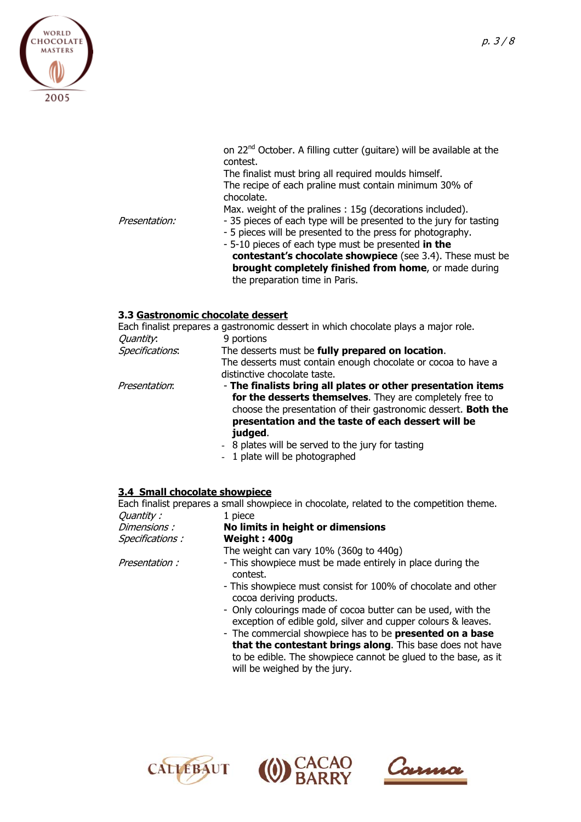

contest. The finalist must bring all required moulds himself. The recipe of each praline must contain minimum 30% of chocolate. Max. weight of the pralines : 15g (decorations included). Presentation: - 35 pieces of each type will be presented to the jury for tasting - 5 pieces will be presented to the press for photography.

- 5-10 pieces of each type must be presented **in the contestant's chocolate showpiece** (see 3.4). These must be **brought completely finished from home**, or made during the preparation time in Paris.

on 22<sup>nd</sup> October. A filling cutter (quitare) will be available at the

## **3.3 Gastronomic chocolate dessert**

|                 | Each finalist prepares a gastronomic dessert in which chocolate plays a major role.                                                                                                                                                                         |
|-----------------|-------------------------------------------------------------------------------------------------------------------------------------------------------------------------------------------------------------------------------------------------------------|
| Quantity.       | 9 portions                                                                                                                                                                                                                                                  |
| Specifications. | The desserts must be fully prepared on location.                                                                                                                                                                                                            |
|                 | The desserts must contain enough chocolate or cocoa to have a<br>distinctive chocolate taste.                                                                                                                                                               |
| Presentation:   | - The finalists bring all plates or other presentation items<br>for the desserts themselves. They are completely free to<br>choose the presentation of their gastronomic dessert. Both the<br>presentation and the taste of each dessert will be<br>judged. |
|                 | - 8 plates will be served to the jury for tasting                                                                                                                                                                                                           |
|                 |                                                                                                                                                                                                                                                             |

- 1 plate will be photographed

## **3.4 Small chocolate showpiece**

Each finalist prepares a small showpiece in chocolate, related to the competition theme. Quantity : 1 piece Dimensions : **No limits in height or dimensions** Specifications : **Weight : 400g**

The weight can vary 10% (360g to 440g)

Presentation : - This showpiece must be made entirely in place during the

- contest. - This showpiece must consist for 100% of chocolate and other
- cocoa deriving products. - Only colourings made of cocoa butter can be used, with the
- exception of edible gold, silver and cupper colours & leaves. - The commercial showpiece has to be **presented on a base**
- **that the contestant brings along**. This base does not have to be edible. The showpiece cannot be glued to the base, as it will be weighed by the jury.





Carma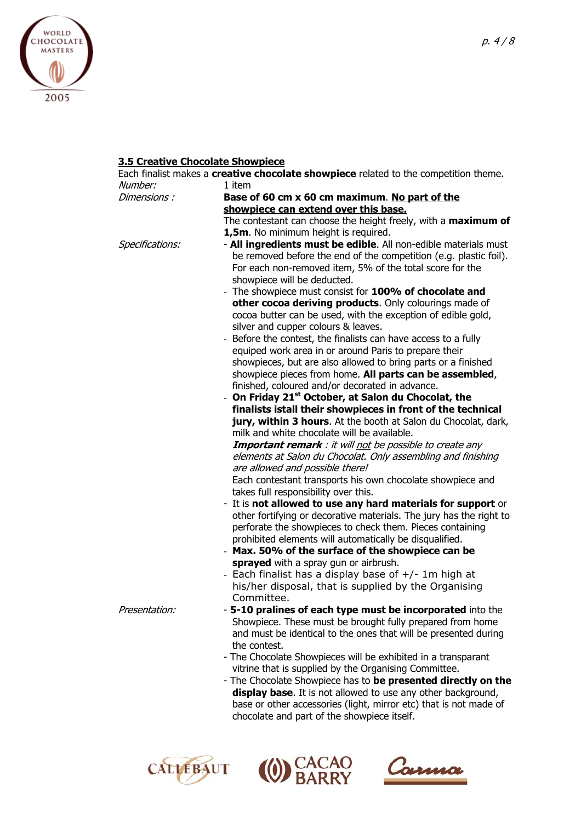

# **3.5 Creative Chocolate Showpiece**

|                 | Each finalist makes a <b>creative chocolate showpiece</b> related to the competition theme. |
|-----------------|---------------------------------------------------------------------------------------------|
| Number:         | 1 item                                                                                      |
| Dimensions :    | Base of 60 cm x 60 cm maximum. No part of the                                               |
|                 | showpiece can extend over this base.                                                        |
|                 | The contestant can choose the height freely, with a maximum of                              |
|                 | 1,5m. No minimum height is required.                                                        |
| Specifications: | - All ingredients must be edible. All non-edible materials must                             |
|                 | be removed before the end of the competition (e.g. plastic foil).                           |
|                 | For each non-removed item, 5% of the total score for the                                    |
|                 | showpiece will be deducted.                                                                 |
|                 | - The showpiece must consist for 100% of chocolate and                                      |
|                 | other cocoa deriving products. Only colourings made of                                      |
|                 | cocoa butter can be used, with the exception of edible gold,                                |
|                 | silver and cupper colours & leaves.                                                         |
|                 | - Before the contest, the finalists can have access to a fully                              |
|                 | equiped work area in or around Paris to prepare their                                       |
|                 | showpieces, but are also allowed to bring parts or a finished                               |
|                 | showpiece pieces from home. All parts can be assembled,                                     |
|                 | finished, coloured and/or decorated in advance.                                             |
|                 | - On Friday 21 <sup>st</sup> October, at Salon du Chocolat, the                             |
|                 | finalists istall their showpieces in front of the technical                                 |
|                 | jury, within 3 hours. At the booth at Salon du Chocolat, dark,                              |
|                 | milk and white chocolate will be available.                                                 |
|                 | <b>Important remark</b> : it will not be possible to create any                             |
|                 | elements at Salon du Chocolat. Only assembling and finishing                                |
|                 | are allowed and possible there!                                                             |
|                 | Each contestant transports his own chocolate showpiece and                                  |
|                 | takes full responsibility over this.                                                        |
|                 | - It is not allowed to use any hard materials for support or                                |
|                 | other fortifying or decorative materials. The jury has the right to                         |
|                 | perforate the showpieces to check them. Pieces containing                                   |
|                 | prohibited elements will automatically be disqualified.                                     |
|                 | - Max. 50% of the surface of the showpiece can be                                           |
|                 | sprayed with a spray gun or airbrush.                                                       |
|                 | - Each finalist has a display base of $+/-$ 1m high at                                      |
|                 | his/her disposal, that is supplied by the Organising                                        |
|                 | Committee.                                                                                  |
| Presentation:   | - 5-10 pralines of each type must be incorporated into the                                  |
|                 | Showpiece. These must be brought fully prepared from home                                   |
|                 | and must be identical to the ones that will be presented during                             |
|                 | the contest.                                                                                |
|                 | - The Chocolate Showpieces will be exhibited in a transparant                               |
|                 | vitrine that is supplied by the Organising Committee.                                       |
|                 | - The Chocolate Showpiece has to be presented directly on the                               |
|                 | display base. It is not allowed to use any other background,                                |
|                 | base or other accessories (light, mirror etc) that is not made of                           |
|                 | chocolate and part of the showpiece itself.                                                 |





CACAO Carma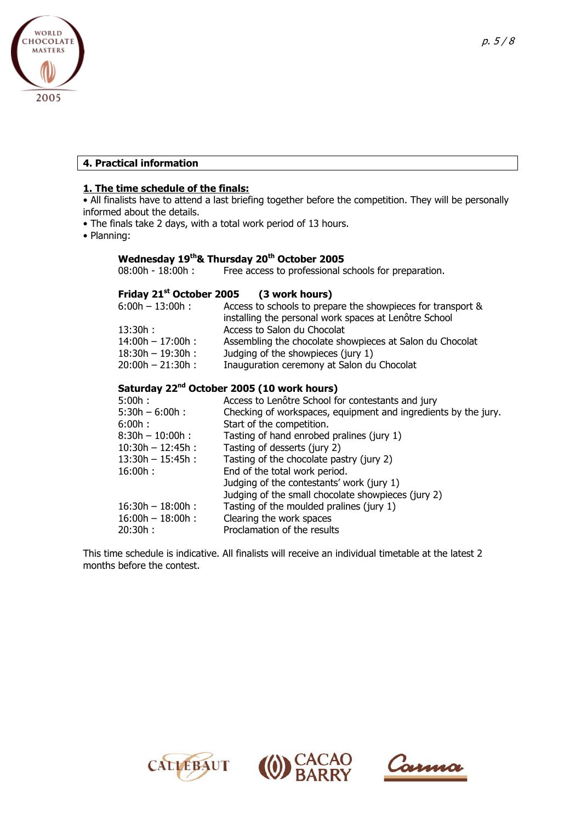

#### **4. Practical information**

#### **1. The time schedule of the finals:**

• All finalists have to attend a last briefing together before the competition. They will be personally informed about the details.

- The finals take 2 days, with a total work period of 13 hours.
- Planning:

# **Wednesday 19<sup>th</sup>& Thursday 20<sup>th</sup> October 2005** 08:00h - 18:00h : Free access to professional s

Free access to professional schools for preparation.

## **Friday 21st October 2005 (3 work hours)**

| $6:00h - 13:00h$ :  | Access to schools to prepare the showpieces for transport &<br>installing the personal work spaces at Lenôtre School |
|---------------------|----------------------------------------------------------------------------------------------------------------------|
| 13:30h:             | Access to Salon du Chocolat                                                                                          |
| $14:00h - 17:00h$ : | Assembling the chocolate showpieces at Salon du Chocolat                                                             |
| $18:30h - 19:30h$ : | Judging of the showpieces (jury 1)                                                                                   |
| $20:00h - 21:30h$ : | Inauguration ceremony at Salon du Chocolat                                                                           |

# **Saturday 22nd October 2005 (10 work hours)**

| 5:00h:              | Access to Lenôtre School for contestants and jury              |
|---------------------|----------------------------------------------------------------|
| $5:30h - 6:00h$ :   | Checking of workspaces, equipment and ingredients by the jury. |
| 6:00h:              | Start of the competition.                                      |
| $8:30h - 10:00h$ :  | Tasting of hand enrobed pralines (jury 1)                      |
| $10:30h - 12:45h$ : | Tasting of desserts (jury 2)                                   |
| $13:30h - 15:45h$ : | Tasting of the chocolate pastry (jury 2)                       |
| 16:00h:             | End of the total work period.                                  |
|                     | Judging of the contestants' work (jury 1)                      |
|                     | Judging of the small chocolate showpieces (jury 2)             |
| $16:30h - 18:00h$ : | Tasting of the moulded pralines (jury 1)                       |
| $16:00h - 18:00h$ : | Clearing the work spaces                                       |
| 20:30h:             | Proclamation of the results                                    |
|                     |                                                                |

This time schedule is indicative. All finalists will receive an individual timetable at the latest 2 months before the contest.





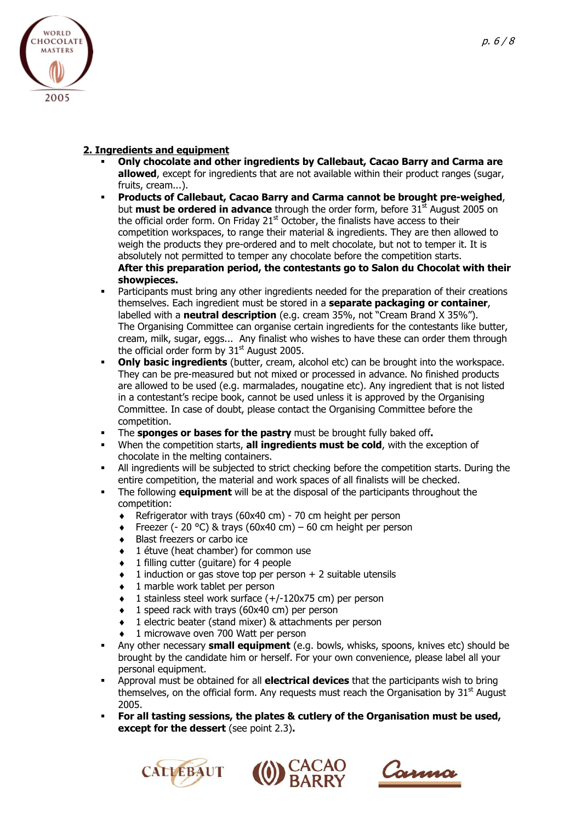

# **2. Ingredients and equipment**

- **Only chocolate and other ingredients by Callebaut, Cacao Barry and Carma are allowed**, except for ingredients that are not available within their product ranges (sugar, fruits, cream...).
- **Products of Callebaut, Cacao Barry and Carma cannot be brought pre-weighed**, but **must be ordered in advance** through the order form, before 31st August 2005 on the official order form. On Friday  $21<sup>st</sup>$  October, the finalists have access to their competition workspaces, to range their material & ingredients. They are then allowed to weigh the products they pre-ordered and to melt chocolate, but not to temper it. It is absolutely not permitted to temper any chocolate before the competition starts. **After this preparation period, the contestants go to Salon du Chocolat with their showpieces.**
- **•** Participants must bring any other ingredients needed for the preparation of their creations themselves. Each ingredient must be stored in a **separate packaging or container**, labelled with a **neutral description** (e.g. cream 35%, not "Cream Brand X 35%"). The Organising Committee can organise certain ingredients for the contestants like butter, cream, milk, sugar, eggs... Any finalist who wishes to have these can order them through the official order form by  $31<sup>st</sup>$  August 2005.
- **Only basic ingredients** (butter, cream, alcohol etc) can be brought into the workspace. They can be pre-measured but not mixed or processed in advance. No finished products are allowed to be used (e.g. marmalades, nougatine etc). Any ingredient that is not listed in a contestant's recipe book, cannot be used unless it is approved by the Organising Committee. In case of doubt, please contact the Organising Committee before the competition.
- The **sponges or bases for the pastry** must be brought fully baked off**.**
- When the competition starts, **all ingredients must be cold**, with the exception of chocolate in the melting containers.
- All ingredients will be subjected to strict checking before the competition starts. During the entire competition, the material and work spaces of all finalists will be checked.
- The following **equipment** will be at the disposal of the participants throughout the competition:
	- ♦ Refrigerator with trays (60x40 cm) 70 cm height per person
	- $\bullet$  Freezer (- 20 °C) & trays (60x40 cm) 60 cm height per person
	- ♦ Blast freezers or carbo ice
	- ♦ 1 étuve (heat chamber) for common use
	- ♦ 1 filling cutter (guitare) for 4 people
	- $\bullet$  1 induction or gas stove top per person  $+$  2 suitable utensils
	- ♦ 1 marble work tablet per person
	- ♦ 1 stainless steel work surface (+/-120x75 cm) per person
	- ♦ 1 speed rack with trays (60x40 cm) per person
	- 1 electric beater (stand mixer) & attachments per person
	- 1 microwave oven 700 Watt per person
- Any other necessary **small equipment** (e.g. bowls, whisks, spoons, knives etc) should be brought by the candidate him or herself. For your own convenience, please label all your personal equipment.
- Approval must be obtained for all **electrical devices** that the participants wish to bring themselves, on the official form. Any requests must reach the Organisation by  $31<sup>st</sup>$  August 2005.
- **For all tasting sessions, the plates & cutlery of the Organisation must be used, except for the dessert** (see point 2.3)**.**





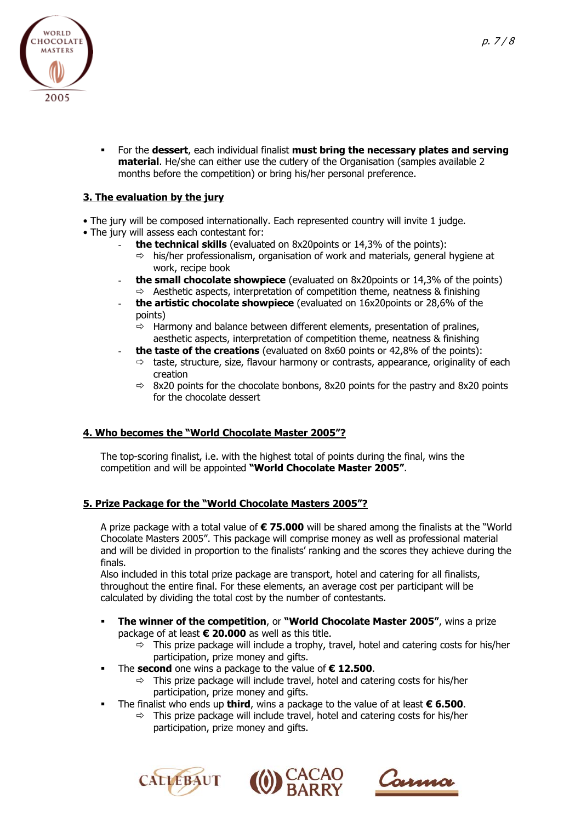

 For the **dessert**, each individual finalist **must bring the necessary plates and serving material**. He/she can either use the cutlery of the Organisation (samples available 2 months before the competition) or bring his/her personal preference.

# **3. The evaluation by the jury**

- The jury will be composed internationally. Each represented country will invite 1 judge.
- The jury will assess each contestant for:
	- the technical skills (evaluated on 8x20points or 14,3% of the points):
		- $\Rightarrow$  his/her professionalism, organisation of work and materials, general hygiene at work, recipe book
	- **the small chocolate showpiece** (evaluated on 8x20points or 14,3% of the points)  $\Rightarrow$  Aesthetic aspects, interpretation of competition theme, neatness & finishing
	- the artistic chocolate showpiece (evaluated on 16x20points or 28,6% of the points)
		- $\Rightarrow$  Harmony and balance between different elements, presentation of pralines, aesthetic aspects, interpretation of competition theme, neatness & finishing
	- **the taste of the creations** (evaluated on 8x60 points or 42,8% of the points):
		- $\Rightarrow$  taste, structure, size, flavour harmony or contrasts, appearance, originality of each creation
		- $\Rightarrow$  8x20 points for the chocolate bonbons, 8x20 points for the pastry and 8x20 points for the chocolate dessert

## **4. Who becomes the "World Chocolate Master 2005"?**

The top-scoring finalist, i.e. with the highest total of points during the final, wins the competition and will be appointed **"World Chocolate Master 2005"**.

## **5. Prize Package for the "World Chocolate Masters 2005"?**

A prize package with a total value of **€ 75.000** will be shared among the finalists at the "World Chocolate Masters 2005". This package will comprise money as well as professional material and will be divided in proportion to the finalists' ranking and the scores they achieve during the finals.

Also included in this total prize package are transport, hotel and catering for all finalists, throughout the entire final. For these elements, an average cost per participant will be calculated by dividing the total cost by the number of contestants.

- **The winner of the competition**, or **"World Chocolate Master 2005"**, wins a prize package of at least **€ 20.000** as well as this title.
	- $\Rightarrow$  This prize package will include a trophy, travel, hotel and catering costs for his/her participation, prize money and gifts.
- The **second** one wins a package to the value of **€ 12.500**.
	- $\Rightarrow$  This prize package will include travel, hotel and catering costs for his/her participation, prize money and gifts.
- The finalist who ends up **third**, wins a package to the value of at least **€ 6.500**.
	- $\Rightarrow$  This prize package will include travel, hotel and catering costs for his/her participation, prize money and gifts.